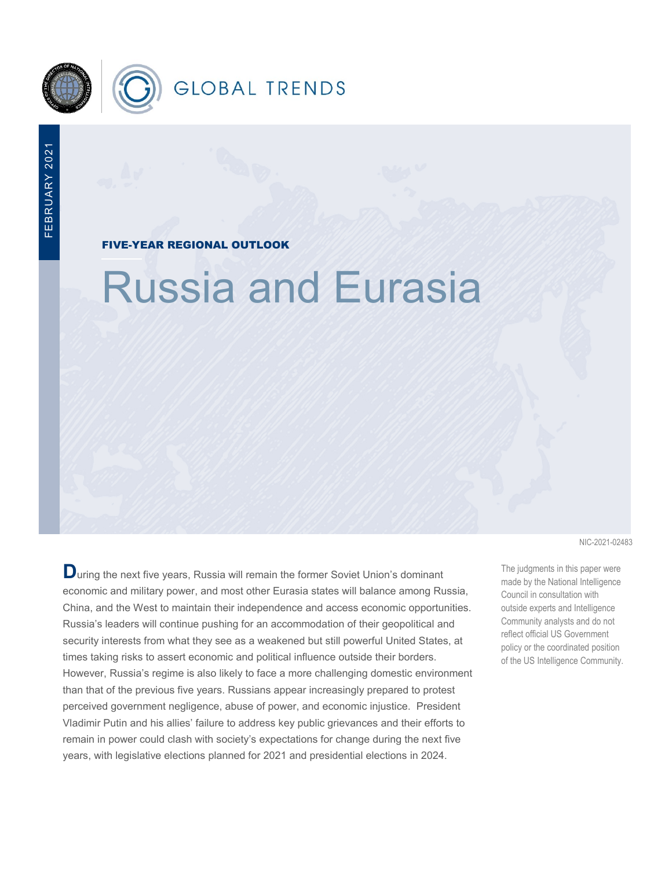

FIVE-YEAR REGIONAL OUTLOOK

# Russia and Eurasia

**D**uring the next five years, Russia will remain the former Soviet Union's dominant economic and military power, and most other Eurasia states will balance among Russia, China, and the West to maintain their independence and access economic opportunities. Russia's leaders will continue pushing for an accommodation of their geopolitical and security interests from what they see as a weakened but still powerful United States, at times taking risks to assert economic and political influence outside their borders. However, Russia's regime is also likely to face a more challenging domestic environment than that of the previous five years. Russians appear increasingly prepared to protest perceived government negligence, abuse of power, and economic injustice. President Vladimir Putin and his allies' failure to address key public grievances and their efforts to remain in power could clash with society's expectations for change during the next five years, with legislative elections planned for 2021 and presidential elections in 2024.

NIC-2021-02483

The judgments in this paper were made by the National Intelligence Council in consultation with outside experts and Intelligence Community analysts and do not reflect official US Government policy or the coordinated position of the US Intelligence Community.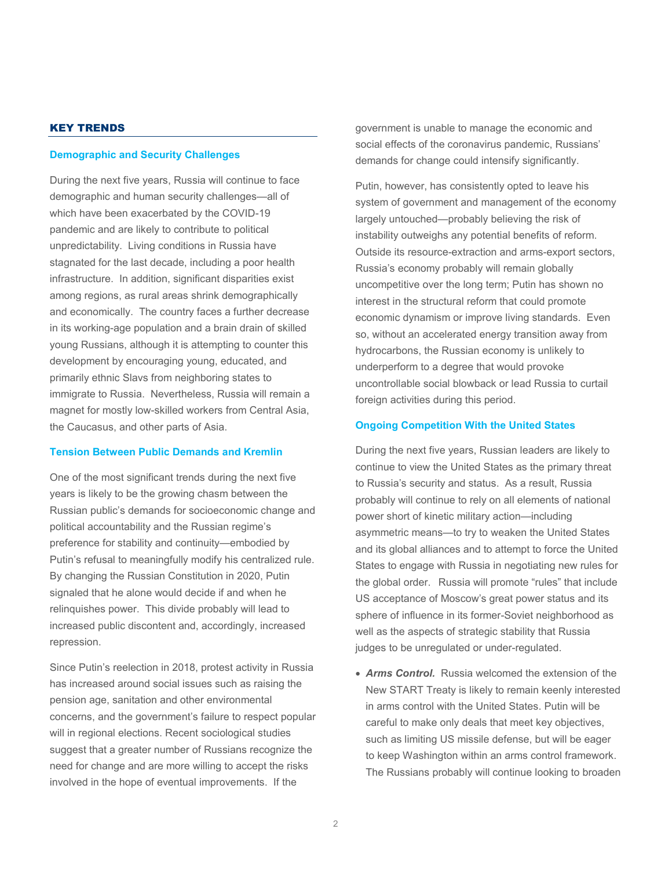# KEY TRENDS

## **Demographic and Security Challenges**

During the next five years, Russia will continue to face demographic and human security challenges—all of which have been exacerbated by the COVID-19 pandemic and are likely to contribute to political unpredictability. Living conditions in Russia have stagnated for the last decade, including a poor health infrastructure. In addition, significant disparities exist among regions, as rural areas shrink demographically and economically. The country faces a further decrease in its working-age population and a brain drain of skilled young Russians, although it is attempting to counter this development by encouraging young, educated, and primarily ethnic Slavs from neighboring states to immigrate to Russia. Nevertheless, Russia will remain a magnet for mostly low-skilled workers from Central Asia, the Caucasus, and other parts of Asia.

## **Tension Between Public Demands and Kremlin**

One of the most significant trends during the next five years is likely to be the growing chasm between the Russian public's demands for socioeconomic change and political accountability and the Russian regime's preference for stability and continuity—embodied by Putin's refusal to meaningfully modify his centralized rule. By changing the Russian Constitution in 2020, Putin signaled that he alone would decide if and when he relinquishes power. This divide probably will lead to increased public discontent and, accordingly, increased repression.

Since Putin's reelection in 2018, protest activity in Russia has increased around social issues such as raising the pension age, sanitation and other environmental concerns, and the government's failure to respect popular will in regional elections. Recent sociological studies suggest that a greater number of Russians recognize the need for change and are more willing to accept the risks involved in the hope of eventual improvements. If the

government is unable to manage the economic and social effects of the coronavirus pandemic, Russians' demands for change could intensify significantly.

Putin, however, has consistently opted to leave his system of government and management of the economy largely untouched—probably believing the risk of instability outweighs any potential benefits of reform. Outside its resource-extraction and arms-export sectors, Russia's economy probably will remain globally uncompetitive over the long term; Putin has shown no interest in the structural reform that could promote economic dynamism or improve living standards. Even so, without an accelerated energy transition away from hydrocarbons, the Russian economy is unlikely to underperform to a degree that would provoke uncontrollable social blowback or lead Russia to curtail foreign activities during this period.

## **Ongoing Competition With the United States**

During the next five years, Russian leaders are likely to continue to view the United States as the primary threat to Russia's security and status. As a result, Russia probably will continue to rely on all elements of national power short of kinetic military action—including asymmetric means—to try to weaken the United States and its global alliances and to attempt to force the United States to engage with Russia in negotiating new rules for the global order. Russia will promote "rules" that include US acceptance of Moscow's great power status and its sphere of influence in its former-Soviet neighborhood as well as the aspects of strategic stability that Russia judges to be unregulated or under-regulated.

• *Arms Control.* Russia welcomed the extension of the New START Treaty is likely to remain keenly interested in arms control with the United States. Putin will be careful to make only deals that meet key objectives, such as limiting US missile defense, but will be eager to keep Washington within an arms control framework. The Russians probably will continue looking to broaden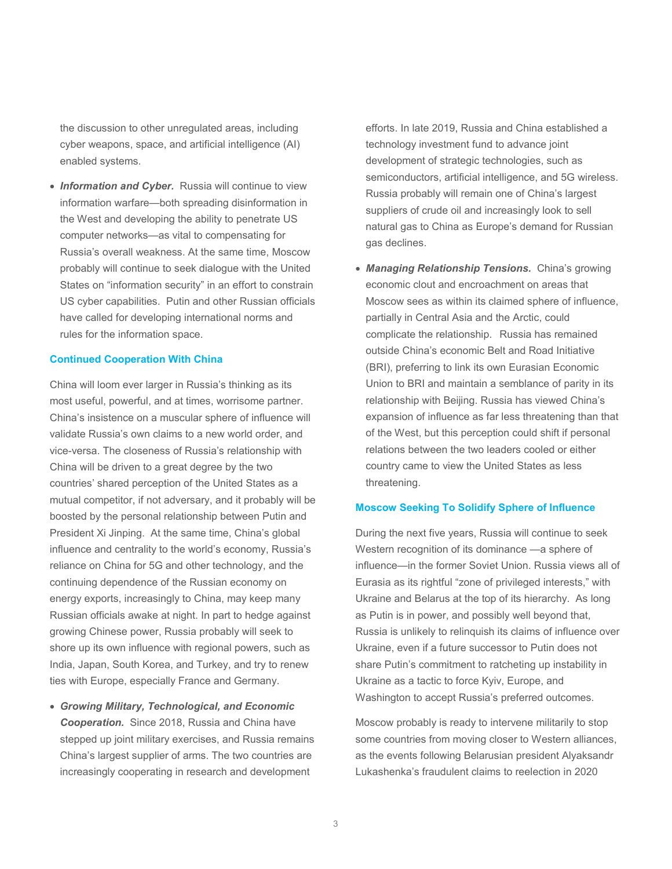the discussion to other unregulated areas, including cyber weapons, space, and artificial intelligence (AI) enabled systems.

• **Information and Cyber.** Russia will continue to view information warfare—both spreading disinformation in the West and developing the ability to penetrate US computer networks—as vital to compensating for Russia's overall weakness. At the same time, Moscow probably will continue to seek dialogue with the United States on "information security" in an effort to constrain US cyber capabilities. Putin and other Russian officials have called for developing international norms and rules for the information space.

## **Continued Cooperation With China**

China will loom ever larger in Russia's thinking as its most useful, powerful, and at times, worrisome partner. China's insistence on a muscular sphere of influence will validate Russia's own claims to a new world order, and vice-versa. The closeness of Russia's relationship with China will be driven to a great degree by the two countries' shared perception of the United States as a mutual competitor, if not adversary, and it probably will be boosted by the personal relationship between Putin and President Xi Jinping. At the same time, China's global influence and centrality to the world's economy, Russia's reliance on China for 5G and other technology, and the continuing dependence of the Russian economy on energy exports, increasingly to China, may keep many Russian officials awake at night. In part to hedge against growing Chinese power, Russia probably will seek to shore up its own influence with regional powers, such as India, Japan, South Korea, and Turkey, and try to renew ties with Europe, especially France and Germany.

• *Growing Military, Technological, and Economic Cooperation.* Since 2018, Russia and China have stepped up joint military exercises, and Russia remains China's largest supplier of arms. The two countries are increasingly cooperating in research and development

efforts. In late 2019, Russia and China established a technology investment fund to advance joint development of strategic technologies, such as semiconductors, artificial intelligence, and 5G wireless. Russia probably will remain one of China's largest suppliers of crude oil and increasingly look to sell natural gas to China as Europe's demand for Russian gas declines.

• *Managing Relationship Tensions.* China's growing economic clout and encroachment on areas that Moscow sees as within its claimed sphere of influence, partially in Central Asia and the Arctic, could complicate the relationship. Russia has remained outside China's economic Belt and Road Initiative (BRI), preferring to link its own Eurasian Economic Union to BRI and maintain a semblance of parity in its relationship with Beijing. Russia has viewed China's expansion of influence as far less threatening than that of the West, but this perception could shift if personal relations between the two leaders cooled or either country came to view the United States as less threatening.

## **Moscow Seeking To Solidify Sphere of Influence**

During the next five years, Russia will continue to seek Western recognition of its dominance —a sphere of influence—in the former Soviet Union. Russia views all of Eurasia as its rightful "zone of privileged interests," with Ukraine and Belarus at the top of its hierarchy. As long as Putin is in power, and possibly well beyond that, Russia is unlikely to relinquish its claims of influence over Ukraine, even if a future successor to Putin does not share Putin's commitment to ratcheting up instability in Ukraine as a tactic to force Kyiv, Europe, and Washington to accept Russia's preferred outcomes.

Moscow probably is ready to intervene militarily to stop some countries from moving closer to Western alliances, as the events following Belarusian president Alyaksandr Lukashenka's fraudulent claims to reelection in 2020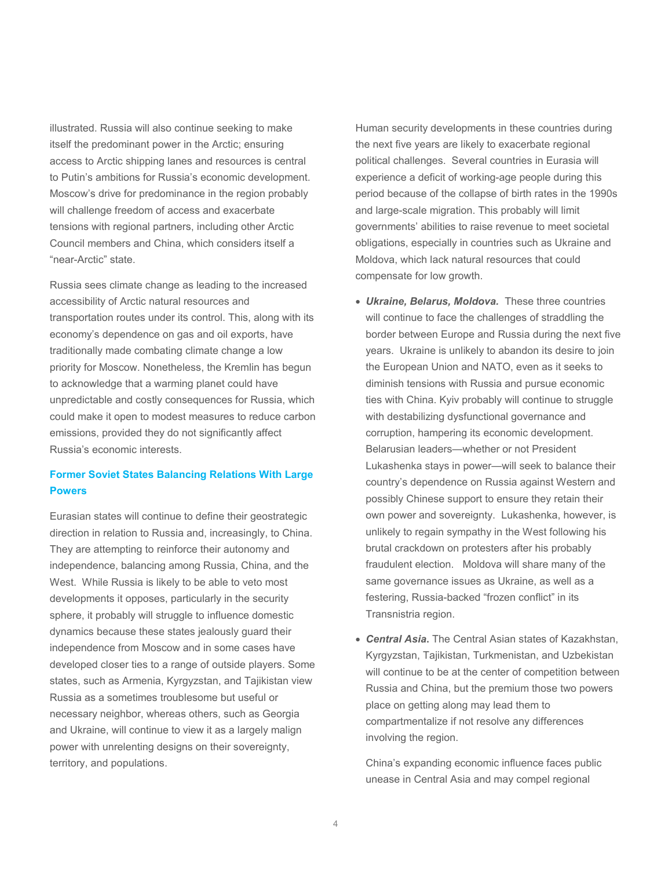illustrated. Russia will also continue seeking to make itself the predominant power in the Arctic; ensuring access to Arctic shipping lanes and resources is central to Putin's ambitions for Russia's economic development. Moscow's drive for predominance in the region probably will challenge freedom of access and exacerbate tensions with regional partners, including other Arctic Council members and China, which considers itself a "near-Arctic" state.

Russia sees climate change as leading to the increased accessibility of Arctic natural resources and transportation routes under its control. This, along with its economy's dependence on gas and oil exports, have traditionally made combating climate change a low priority for Moscow. Nonetheless, the Kremlin has begun to acknowledge that a warming planet could have unpredictable and costly consequences for Russia, which could make it open to modest measures to reduce carbon emissions, provided they do not significantly affect Russia's economic interests.

# **Former Soviet States Balancing Relations With Large Powers**

Eurasian states will continue to define their geostrategic direction in relation to Russia and, increasingly, to China. They are attempting to reinforce their autonomy and independence, balancing among Russia, China, and the West. While Russia is likely to be able to veto most developments it opposes, particularly in the security sphere, it probably will struggle to influence domestic dynamics because these states jealously guard their independence from Moscow and in some cases have developed closer ties to a range of outside players. Some states, such as Armenia, Kyrgyzstan, and Tajikistan view Russia as a sometimes troublesome but useful or necessary neighbor, whereas others, such as Georgia and Ukraine, will continue to view it as a largely malign power with unrelenting designs on their sovereignty, territory, and populations.

Human security developments in these countries during the next five years are likely to exacerbate regional political challenges. Several countries in Eurasia will experience a deficit of working-age people during this period because of the collapse of birth rates in the 1990s and large-scale migration. This probably will limit governments' abilities to raise revenue to meet societal obligations, especially in countries such as Ukraine and Moldova, which lack natural resources that could compensate for low growth.

- *Ukraine, Belarus, Moldova.* These three countries will continue to face the challenges of straddling the border between Europe and Russia during the next five years.Ukraine is unlikely to abandon its desire to join the European Union and NATO, even as it seeks to diminish tensions with Russia and pursue economic ties with China. Kyiv probably will continue to struggle with destabilizing dysfunctional governance and corruption, hampering its economic development. Belarusian leaders—whether or not President Lukashenka stays in power—will seek to balance their country's dependence on Russia against Western and possibly Chinese support to ensure they retain their own power and sovereignty. Lukashenka, however, is unlikely to regain sympathy in the West following his brutal crackdown on protesters after his probably fraudulent election. Moldova will share many of the same governance issues as Ukraine, as well as a festering, Russia-backed "frozen conflict" in its Transnistria region.
- *Central Asia***.** The Central Asian states of Kazakhstan, Kyrgyzstan, Tajikistan, Turkmenistan, and Uzbekistan will continue to be at the center of competition between Russia and China, but the premium those two powers place on getting along may lead them to compartmentalize if not resolve any differences involving the region.

China's expanding economic influence faces public unease in Central Asia and may compel regional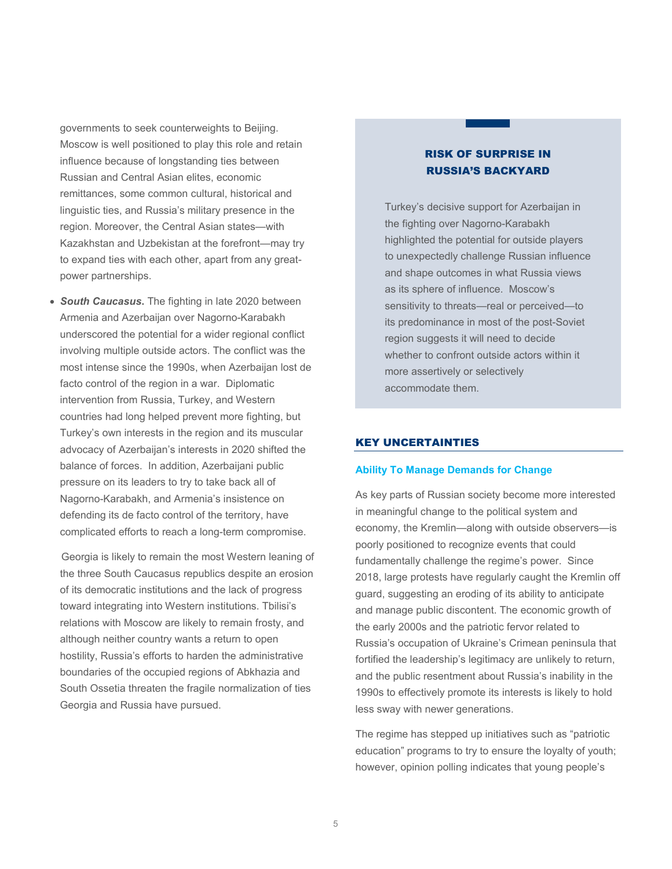governments to seek counterweights to Beijing. Moscow is well positioned to play this role and retain influence because of longstanding ties between Russian and Central Asian elites, economic remittances, some common cultural, historical and linguistic ties, and Russia's military presence in the region. Moreover, the Central Asian states—with Kazakhstan and Uzbekistan at the forefront—may try to expand ties with each other, apart from any greatpower partnerships.

• *South Caucasus***.** The fighting in late 2020 between Armenia and Azerbaijan over Nagorno-Karabakh underscored the potential for a wider regional conflict involving multiple outside actors. The conflict was the most intense since the 1990s, when Azerbaijan lost de facto control of the region in a war. Diplomatic intervention from Russia, Turkey, and Western countries had long helped prevent more fighting, but Turkey's own interests in the region and its muscular advocacy of Azerbaijan's interests in 2020 shifted the balance of forces. In addition, Azerbaijani public pressure on its leaders to try to take back all of Nagorno-Karabakh, and Armenia's insistence on defending its de facto control of the territory, have complicated efforts to reach a long-term compromise.

 Georgia is likely to remain the most Western leaning of the three South Caucasus republics despite an erosion of its democratic institutions and the lack of progress toward integrating into Western institutions. Tbilisi's relations with Moscow are likely to remain frosty, and although neither country wants a return to open hostility, Russia's efforts to harden the administrative boundaries of the occupied regions of Abkhazia and South Ossetia threaten the fragile normalization of ties Georgia and Russia have pursued.

# RISK OF SURPRISE IN RUSSIA'S BACKYARD

Turkey's decisive support for Azerbaijan in the fighting over Nagorno-Karabakh highlighted the potential for outside players to unexpectedly challenge Russian influence and shape outcomes in what Russia views as its sphere of influence. Moscow's sensitivity to threats—real or perceived—to its predominance in most of the post-Soviet region suggests it will need to decide whether to confront outside actors within it more assertively or selectively accommodate them.

# KEY UNCERTAINTIES

## **Ability To Manage Demands for Change**

As key parts of Russian society become more interested in meaningful change to the political system and economy, the Kremlin—along with outside observers—is poorly positioned to recognize events that could fundamentally challenge the regime's power. Since 2018, large protests have regularly caught the Kremlin off guard, suggesting an eroding of its ability to anticipate and manage public discontent. The economic growth of the early 2000s and the patriotic fervor related to Russia's occupation of Ukraine's Crimean peninsula that fortified the leadership's legitimacy are unlikely to return, and the public resentment about Russia's inability in the 1990s to effectively promote its interests is likely to hold less sway with newer generations.

The regime has stepped up initiatives such as "patriotic education" programs to try to ensure the loyalty of youth; however, opinion polling indicates that young people's